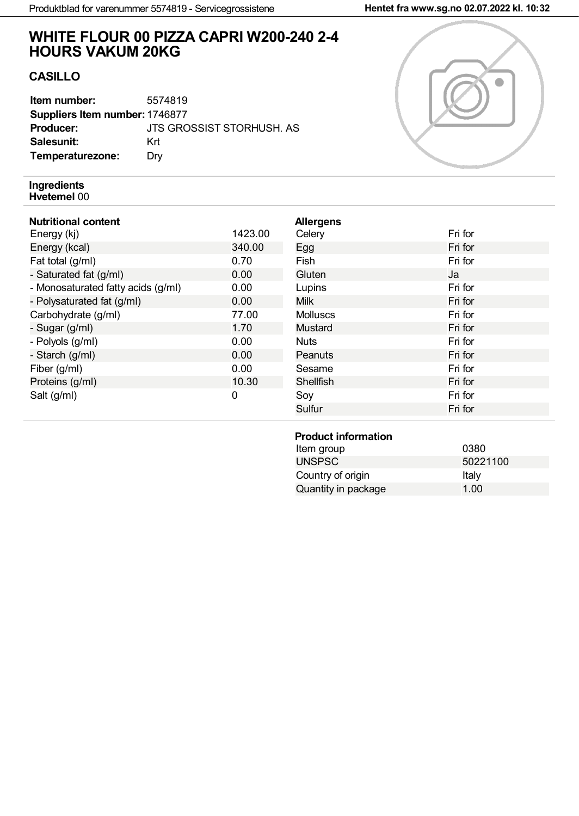# **WHITE FLOUR 00 PIZZA CAPRI W200-240 2-4 HOURS VAKUM 20KG**

# **CASILLO**

| Item number:                   | 5574819                   |
|--------------------------------|---------------------------|
| Suppliers Item number: 1746877 |                           |
| <b>Producer:</b>               | JTS GROSSIST STORHUSH, AS |
| Salesunit:                     | Krt                       |
| Temperaturezone:               | Drv                       |

#### **Ingredients Hvetemel** 00

## **Nutritional content**

| Energy (kj)                        | 1423.00 |
|------------------------------------|---------|
| Energy (kcal)                      | 340.00  |
| Fat total (g/ml)                   | 0.70    |
| - Saturated fat (g/ml)             | 0.00    |
| - Monosaturated fatty acids (g/ml) | 0.00    |
| - Polysaturated fat (g/ml)         | 0.00    |
| Carbohydrate (g/ml)                | 77.00   |
| - Sugar (g/ml)                     | 1.70    |
| - Polyols (g/ml)                   | 0.00    |
| - Starch (g/ml)                    | 0.00    |
| Fiber (g/ml)                       | 0.00    |
| Proteins (g/ml)                    | 10.30   |
| Salt (g/ml)                        | U       |

| <b>Allergens</b><br>Celery | Fri for |
|----------------------------|---------|
| Egg                        | Fri for |
| Fish                       | Fri for |
| Gluten                     | Ja      |
| Lupins                     | Fri for |
| <b>Milk</b>                | Fri for |
| <b>Molluscs</b>            | Fri for |
| Mustard                    | Fri for |
| <b>Nuts</b>                | Fri for |
| Peanuts                    | Fri for |
| Sesame                     | Fri for |
| <b>Shellfish</b>           | Fri for |
| Soy                        | Fri for |
| Sulfur                     | Fri for |

### **Product information**

| Item group          | 0380     |
|---------------------|----------|
| <b>UNSPSC</b>       | 50221100 |
| Country of origin   | Italy    |
| Quantity in package | 1.00     |